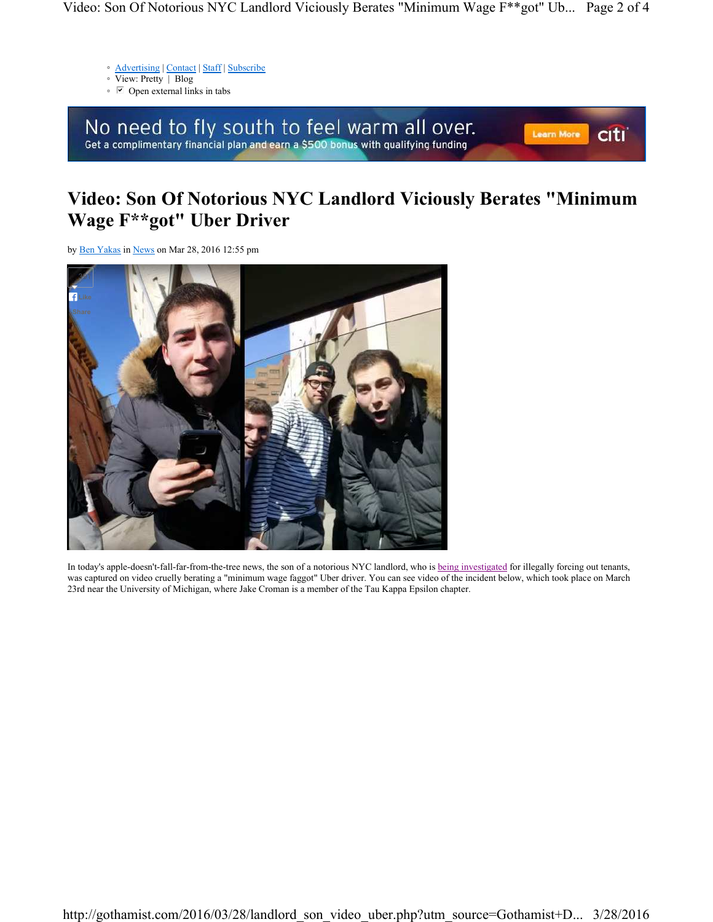- Advertising | Contact | Staff | Subscribe
- View: Pretty | Blog
- Open external links in tabs

No need to fly south to feel warm all over.<br>Get a complimentary financial plan and earn a \$500 bonus with qualifying funding

## **citi** Learn More

## **Video: Son Of Notorious NYC Landlord Viciously Berates "Minimum Wage F\*\*got" Uber Driver**

by Ben Yakas in News on Mar 28, 2016 12:55 pm



In today's apple-doesn't-fall-far-from-the-tree news, the son of a notorious NYC landlord, who is being investigated for illegally forcing out tenants, was captured on video cruelly berating a "minimum wage faggot" Uber driver. You can see video of the incident below, which took place on March 23rd near the University of Michigan, where Jake Croman is a member of the Tau Kappa Epsilon chapter.